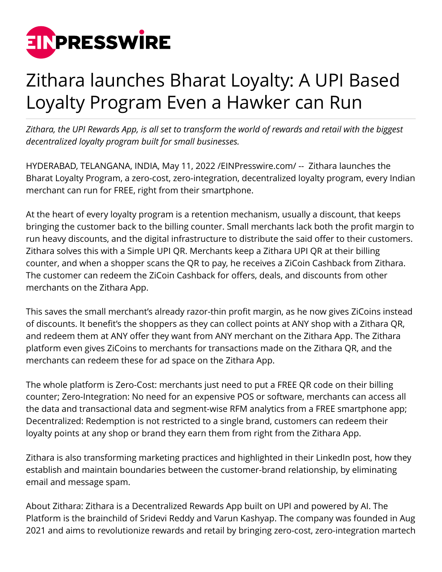

## Zithara launches Bharat Loyalty: A UPI Based Loyalty Program Even a Hawker can Run

*Zithara, the UPI Rewards App, is all set to transform the world of rewards and retail with the biggest decentralized loyalty program built for small businesses.*

HYDERABAD, TELANGANA, INDIA, May 11, 2022 /[EINPresswire.com](http://www.einpresswire.com)/ -- Zithara launches the Bharat Loyalty Program, a zero-cost, zero-integration, decentralized loyalty program, every Indian merchant can run for FREE, right from their smartphone.

At the heart of every loyalty program is a retention mechanism, usually a discount, that keeps bringing the customer back to the billing counter. Small merchants lack both the profit margin to run heavy discounts, and the digital infrastructure to distribute the said offer to their customers. Zithara solves this with a Simple UPI QR. Merchants keep a Zithara UPI QR at their billing counter, and when a shopper scans the QR to pay, he receives a ZiCoin Cashback from Zithara. The customer can redeem the ZiCoin Cashback for offers, deals, and discounts from other merchants on the Zithara App.

This saves the small merchant's already razor-thin profit margin, as he now gives ZiCoins instead of discounts. It benefit's the shoppers as they can collect points at ANY shop with a Zithara QR, and redeem them at ANY offer they want from ANY merchant on the Zithara App. The Zithara platform even gives ZiCoins to merchants for transactions made on the Zithara QR, and the merchants can redeem these for ad space on the Zithara App.

The whole platform is Zero-Cost: merchants just need to put a FREE QR code on their billing counter; Zero-Integration: No need for an expensive POS or software, merchants can access all the data and transactional data and segment-wise RFM analytics from a FREE smartphone app; Decentralized: Redemption is not restricted to a single brand, customers can redeem their loyalty points at any shop or brand they earn them from right from the Zithara App.

Zithara is also transforming marketing practices and highlighted in their LinkedIn post, how they establish and maintain boundaries between the customer-brand relationship, by eliminating email and message spam.

About Zithara: Zithara is a Decentralized Rewards App built on UPI and powered by AI. The Platform is the brainchild of Sridevi Reddy and Varun Kashyap. The company was founded in Aug 2021 and aims to revolutionize rewards and retail by bringing zero-cost, zero-integration martech